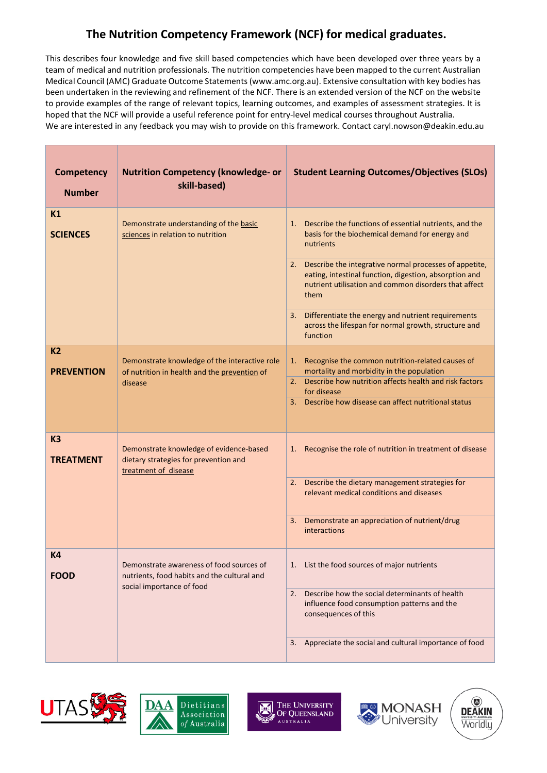## **The Nutrition Competency Framework (NCF) for medical graduates.**

This describes four knowledge and five skill based competencies which have been developed over three years by a team of medical and nutrition professionals. The nutrition competencies have been mapped to the current Australian Medical Council (AMC) Graduate Outcome Statements (www.amc.org.au). Extensive consultation with key bodies has been undertaken in the reviewing and refinement of the NCF. There is an extended version of the NCF on the website to provide examples of the range of relevant topics, learning outcomes, and examples of assessment strategies. It is hoped that the NCF will provide a useful reference point for entry-level medical courses throughout Australia. We are interested in any feedback you may wish to provide on this framework. Contact caryl.nowson@deakin.edu.au

| Competency<br><b>Number</b>        | <b>Nutrition Competency (knowledge- or</b><br>skill-based)                                                           | <b>Student Learning Outcomes/Objectives (SLOs)</b>                                                                                                                                                                                                                                                                                                                                                                                                      |
|------------------------------------|----------------------------------------------------------------------------------------------------------------------|---------------------------------------------------------------------------------------------------------------------------------------------------------------------------------------------------------------------------------------------------------------------------------------------------------------------------------------------------------------------------------------------------------------------------------------------------------|
| K1<br><b>SCIENCES</b>              | Demonstrate understanding of the basic<br>sciences in relation to nutrition                                          | Describe the functions of essential nutrients, and the<br>1.<br>basis for the biochemical demand for energy and<br>nutrients<br>Describe the integrative normal processes of appetite,<br>2.<br>eating, intestinal function, digestion, absorption and<br>nutrient utilisation and common disorders that affect<br>them<br>Differentiate the energy and nutrient requirements<br>3.<br>across the lifespan for normal growth, structure and<br>function |
| <b>K2</b><br><b>PREVENTION</b>     | Demonstrate knowledge of the interactive role<br>of nutrition in health and the prevention of<br>disease             | Recognise the common nutrition-related causes of<br>1.<br>mortality and morbidity in the population<br>2. Describe how nutrition affects health and risk factors<br>for disease<br>Describe how disease can affect nutritional status<br>3.                                                                                                                                                                                                             |
| K <sub>3</sub><br><b>TREATMENT</b> | Demonstrate knowledge of evidence-based<br>dietary strategies for prevention and<br>treatment of disease             | Recognise the role of nutrition in treatment of disease<br>1.<br>2. Describe the dietary management strategies for<br>relevant medical conditions and diseases<br>Demonstrate an appreciation of nutrient/drug<br>3.<br>interactions                                                                                                                                                                                                                    |
| K4<br><b>FOOD</b>                  | Demonstrate awareness of food sources of<br>nutrients, food habits and the cultural and<br>social importance of food | 1. List the food sources of major nutrients<br>Describe how the social determinants of health<br>2.<br>influence food consumption patterns and the<br>consequences of this<br>Appreciate the social and cultural importance of food<br>3.                                                                                                                                                                                                               |





THE UNIVERSITY 岡 OF QUEENSLAND **AUSTRALIA** 



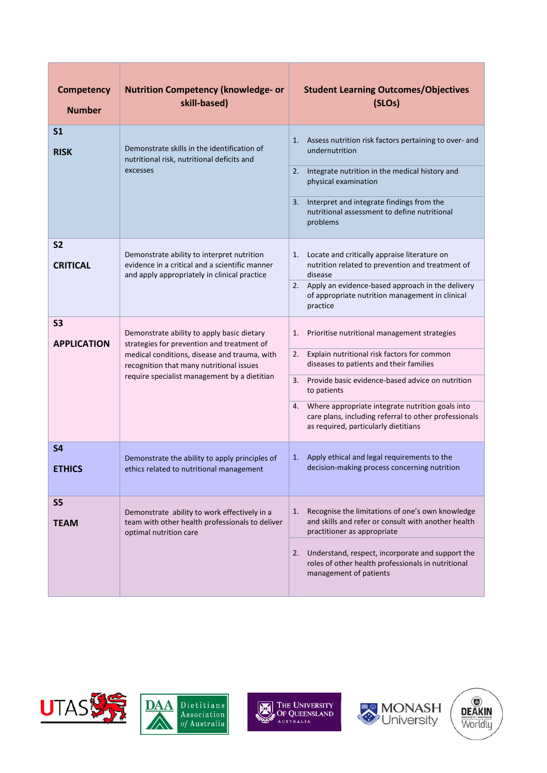| <b>Competency</b><br><b>Number</b>   | <b>Nutrition Competency (knowledge- or</b><br>skill-based)                                                                                   | <b>Student Learning Outcomes/Objectives</b><br>(SLOs)                                                                                                   |
|--------------------------------------|----------------------------------------------------------------------------------------------------------------------------------------------|---------------------------------------------------------------------------------------------------------------------------------------------------------|
| S <sub>1</sub><br><b>RISK</b>        | Demonstrate skills in the identification of<br>nutritional risk, nutritional deficits and<br>excesses                                        | Assess nutrition risk factors pertaining to over- and<br>1.<br>undernutrition<br>2.                                                                     |
|                                      |                                                                                                                                              | Integrate nutrition in the medical history and<br>physical examination                                                                                  |
|                                      |                                                                                                                                              | Interpret and integrate findings from the<br>3.<br>nutritional assessment to define nutritional<br>problems                                             |
| <b>S2</b><br><b>CRITICAL</b>         | Demonstrate ability to interpret nutrition<br>evidence in a critical and a scientific manner<br>and apply appropriately in clinical practice | Locate and critically appraise literature on<br>1.<br>nutrition related to prevention and treatment of<br>disease                                       |
|                                      |                                                                                                                                              | 2. Apply an evidence-based approach in the delivery<br>of appropriate nutrition management in clinical<br>practice                                      |
| S <sub>3</sub><br><b>APPLICATION</b> | Demonstrate ability to apply basic dietary<br>strategies for prevention and treatment of                                                     | Prioritise nutritional management strategies<br>1.                                                                                                      |
|                                      | medical conditions, disease and trauma, with<br>recognition that many nutritional issues                                                     | Explain nutritional risk factors for common<br>2.<br>diseases to patients and their families                                                            |
|                                      | require specialist management by a dietitian                                                                                                 | 3.<br>Provide basic evidence-based advice on nutrition<br>to patients                                                                                   |
|                                      |                                                                                                                                              | Where appropriate integrate nutrition goals into<br>4.<br>care plans, including referral to other professionals<br>as required, particularly dietitians |
| S <sub>4</sub><br><b>ETHICS</b>      | Demonstrate the ability to apply principles of<br>ethics related to nutritional management                                                   | Apply ethical and legal requirements to the<br>1.<br>decision-making process concerning nutrition                                                       |
| S <sub>5</sub>                       | Demonstrate ability to work effectively in a                                                                                                 | Recognise the limitations of one's own knowledge<br>1.                                                                                                  |
| <b>TEAM</b>                          | team with other health professionals to deliver<br>optimal nutrition care                                                                    | and skills and refer or consult with another health<br>practitioner as appropriate                                                                      |
|                                      |                                                                                                                                              | Understand, respect, incorporate and support the<br>2.<br>roles of other health professionals in nutritional<br>management of patients                  |